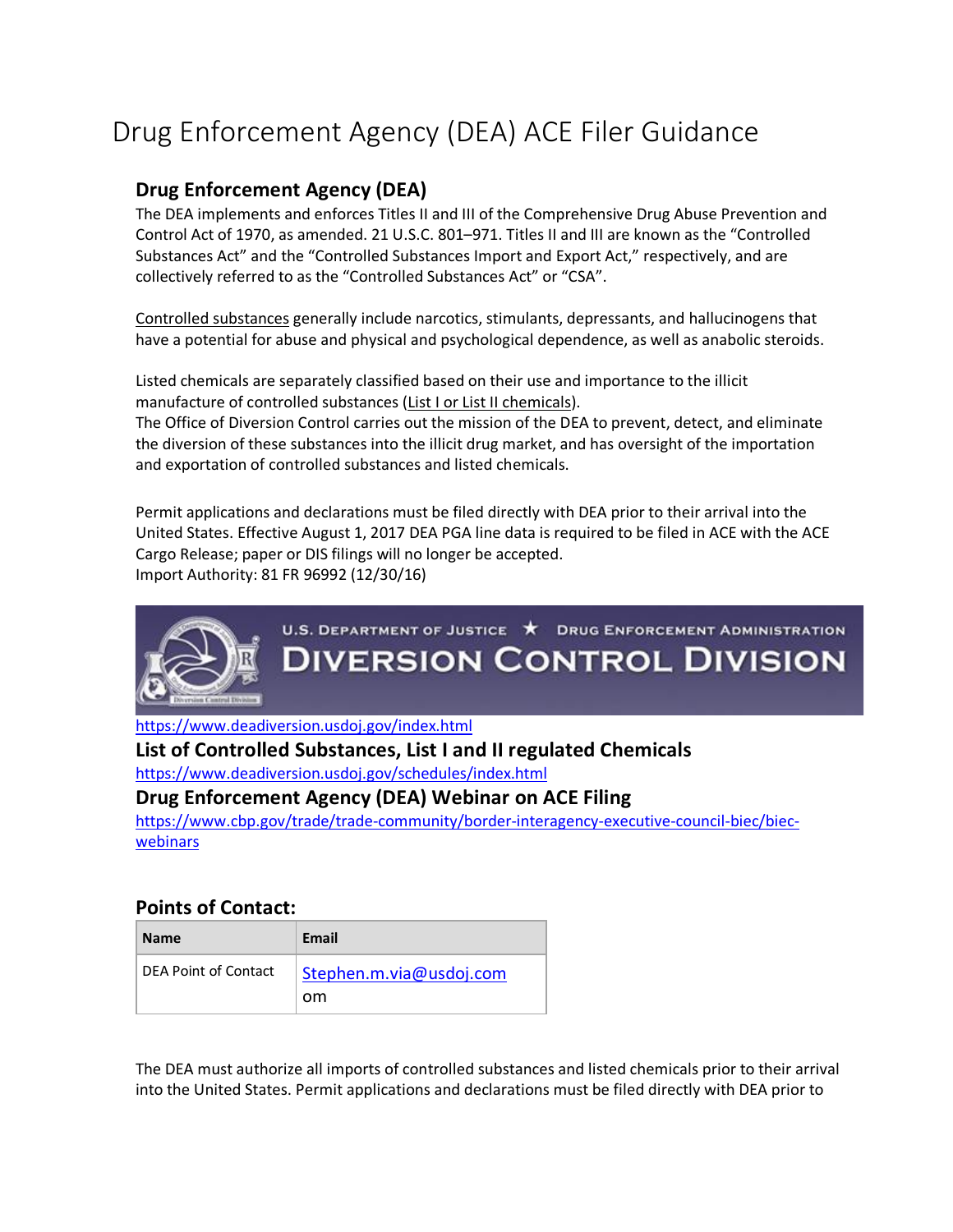# Drug Enforcement Agency (DEA) ACE Filer Guidance

### **Drug Enforcement Agency (DEA)**

The DEA implements and enforces Titles II and III of the Comprehensive Drug Abuse Prevention and Control Act of 1970, as amended. 21 U.S.C. 801–971. Titles II and III are known as the "Controlled Substances Act" and the "Controlled Substances Import and Export Act," respectively, and are collectively referred to as the "Controlled Substances Act" or "CSA".

Controlled substances generally include narcotics, stimulants, depressants, and hallucinogens that have a potential for abuse and physical and psychological dependence, as well as anabolic steroids.

Listed chemicals are separately classified based on their use and importance to the illicit manufacture of controlled substances (List I or List II chemicals).

The Office of Diversion Control carries out the mission of the DEA to prevent, detect, and eliminate the diversion of these substances into the illicit drug market, and has oversight of the importation and exportation of controlled substances and listed chemicals.

Permit applications and declarations must be filed directly with DEA prior to their arrival into the United States. Effective August 1, 2017 DEA PGA line data is required to be filed in ACE with the ACE Cargo Release; paper or DIS filings will no longer be accepted. Import Authority: 81 FR 96992 (12/30/16)



## U.S. DEPARTMENT OF JUSTICE **\*** DRUG ENFORCEMENT ADMINISTRATION **DIVERSION CONTROL DIVISION**

<https://www.deadiversion.usdoj.gov/index.html>

**List of Controlled Substances, List I and II regulated Chemicals** 

<https://www.deadiversion.usdoj.gov/schedules/index.html>

**Drug Enforcement Agency (DEA) Webinar on ACE Filing**

[https://www.cbp.gov/trade/trade-community/border-interagency-executive-council-biec/biec](https://www.cbp.gov/trade/trade-community/border-interagency-executive-council-biec/biec-webinars)[webinars](https://www.cbp.gov/trade/trade-community/border-interagency-executive-council-biec/biec-webinars)

#### **Points of Contact:**

| <b>Name</b>          | Email                         |
|----------------------|-------------------------------|
| DEA Point of Contact | Stephen.m.via@usdoj.com<br>om |

The DEA must authorize all imports of controlled substances and listed chemicals prior to their arrival into the United States. Permit applications and declarations must be filed directly with DEA prior to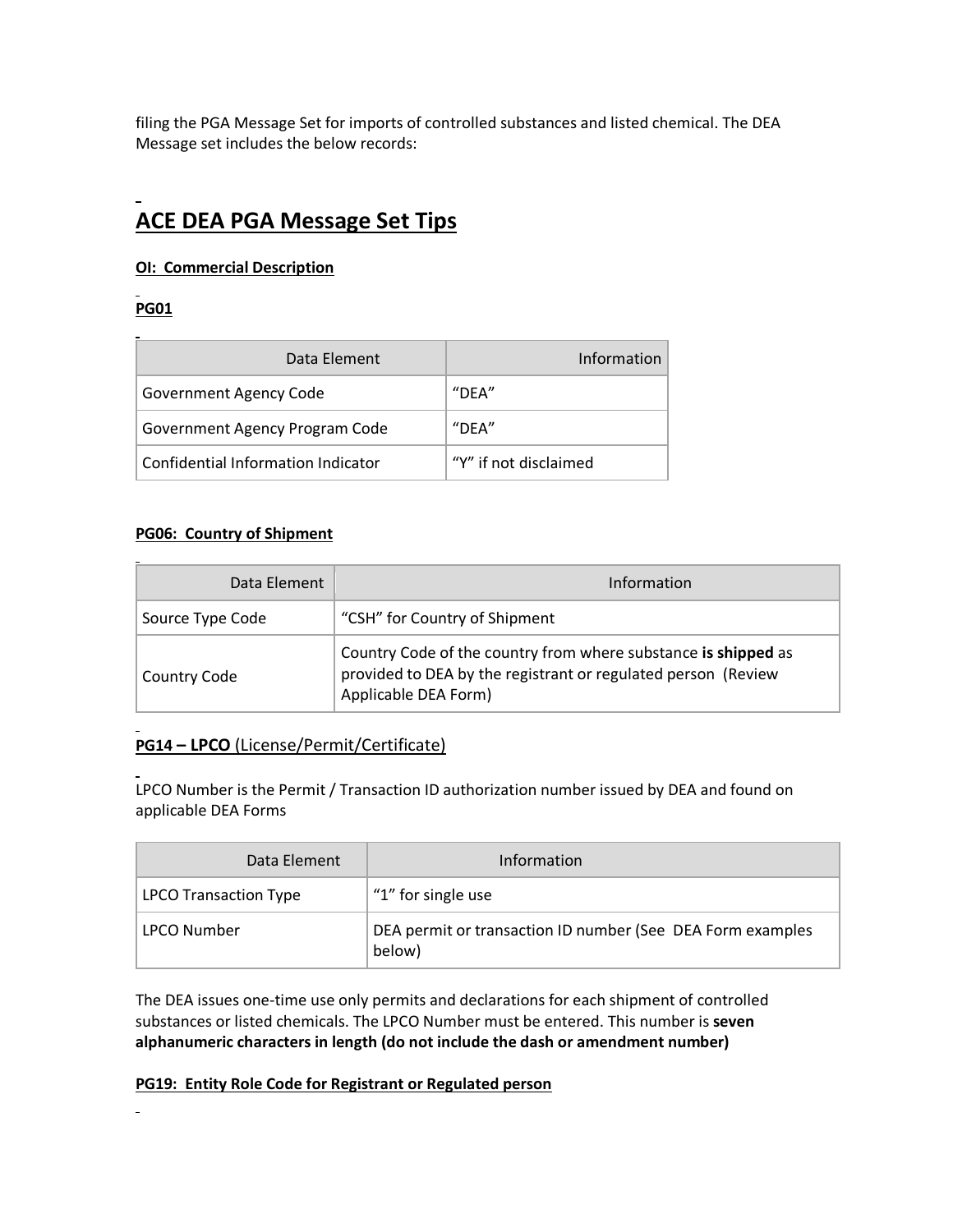filing the PGA Message Set for imports of controlled substances and listed chemical. The DEA Message set includes the below records:

## **ACE DEA PGA Message Set Tips**

#### **OI: Commercial Description**

#### **PG01**

| Data Element                       | Information           |
|------------------------------------|-----------------------|
| <b>Government Agency Code</b>      | $"$ DEA"              |
| Government Agency Program Code     | $"$ DFA"              |
| Confidential Information Indicator | "Y" if not disclaimed |

#### **PG06: Country of Shipment**

| Data Element        | Information                                                                                                                                             |
|---------------------|---------------------------------------------------------------------------------------------------------------------------------------------------------|
| Source Type Code    | "CSH" for Country of Shipment                                                                                                                           |
| <b>Country Code</b> | Country Code of the country from where substance is shipped as<br>provided to DEA by the registrant or regulated person (Review<br>Applicable DEA Form) |

#### **PG14 – LPCO** (License/Permit/Certificate)

LPCO Number is the Permit / Transaction ID authorization number issued by DEA and found on applicable DEA Forms

| Data Element                 | Information                                                          |
|------------------------------|----------------------------------------------------------------------|
| <b>LPCO Transaction Type</b> | "1" for single use                                                   |
| <b>LPCO Number</b>           | DEA permit or transaction ID number (See DEA Form examples<br>below) |

The DEA issues one-time use only permits and declarations for each shipment of controlled substances or listed chemicals. The LPCO Number must be entered. This number is **seven alphanumeric characters in length (do not include the dash or amendment number)** 

#### **PG19: Entity Role Code for Registrant or Regulated person**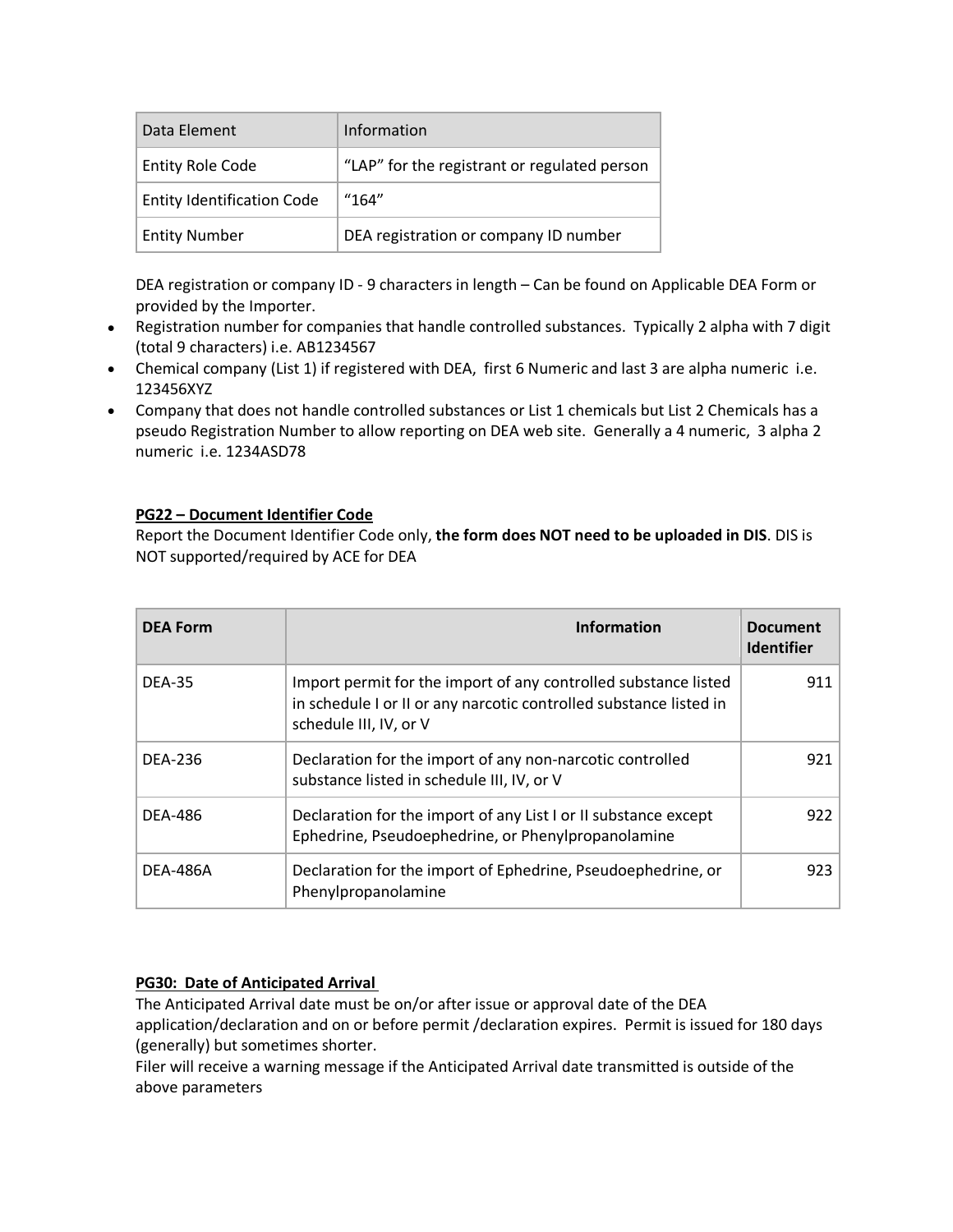| Data Element                      | Information                                  |
|-----------------------------------|----------------------------------------------|
| <b>Entity Role Code</b>           | "LAP" for the registrant or regulated person |
| <b>Entity Identification Code</b> | "164"                                        |
| <b>Entity Number</b>              | DEA registration or company ID number        |

DEA registration or company ID - 9 characters in length – Can be found on Applicable DEA Form or provided by the Importer.

- Registration number for companies that handle controlled substances. Typically 2 alpha with 7 digit (total 9 characters) i.e. AB1234567
- Chemical company (List 1) if registered with DEA, first 6 Numeric and last 3 are alpha numeric i.e. 123456XYZ
- Company that does not handle controlled substances or List 1 chemicals but List 2 Chemicals has a pseudo Registration Number to allow reporting on DEA web site. Generally a 4 numeric, 3 alpha 2 numeric i.e. 1234ASD78

#### **PG22 – Document Identifier Code**

Report the Document Identifier Code only, **the form does NOT need to be uploaded in DIS**. DIS is NOT supported/required by ACE for DEA

| <b>DEA Form</b> | <b>Information</b>                                                                                                                                              | <b>Document</b><br><b>Identifier</b> |
|-----------------|-----------------------------------------------------------------------------------------------------------------------------------------------------------------|--------------------------------------|
| <b>DEA-35</b>   | Import permit for the import of any controlled substance listed<br>in schedule I or II or any narcotic controlled substance listed in<br>schedule III, IV, or V | 911                                  |
| <b>DEA-236</b>  | Declaration for the import of any non-narcotic controlled<br>substance listed in schedule III, IV, or V                                                         | 921                                  |
| <b>DEA-486</b>  | Declaration for the import of any List I or II substance except<br>Ephedrine, Pseudoephedrine, or Phenylpropanolamine                                           | 922                                  |
| <b>DEA-486A</b> | Declaration for the import of Ephedrine, Pseudoephedrine, or<br>Phenylpropanolamine                                                                             | 923                                  |

#### **PG30: Date of Anticipated Arrival**

The Anticipated Arrival date must be on/or after issue or approval date of the DEA application/declaration and on or before permit /declaration expires. Permit is issued for 180 days (generally) but sometimes shorter.

Filer will receive a warning message if the Anticipated Arrival date transmitted is outside of the above parameters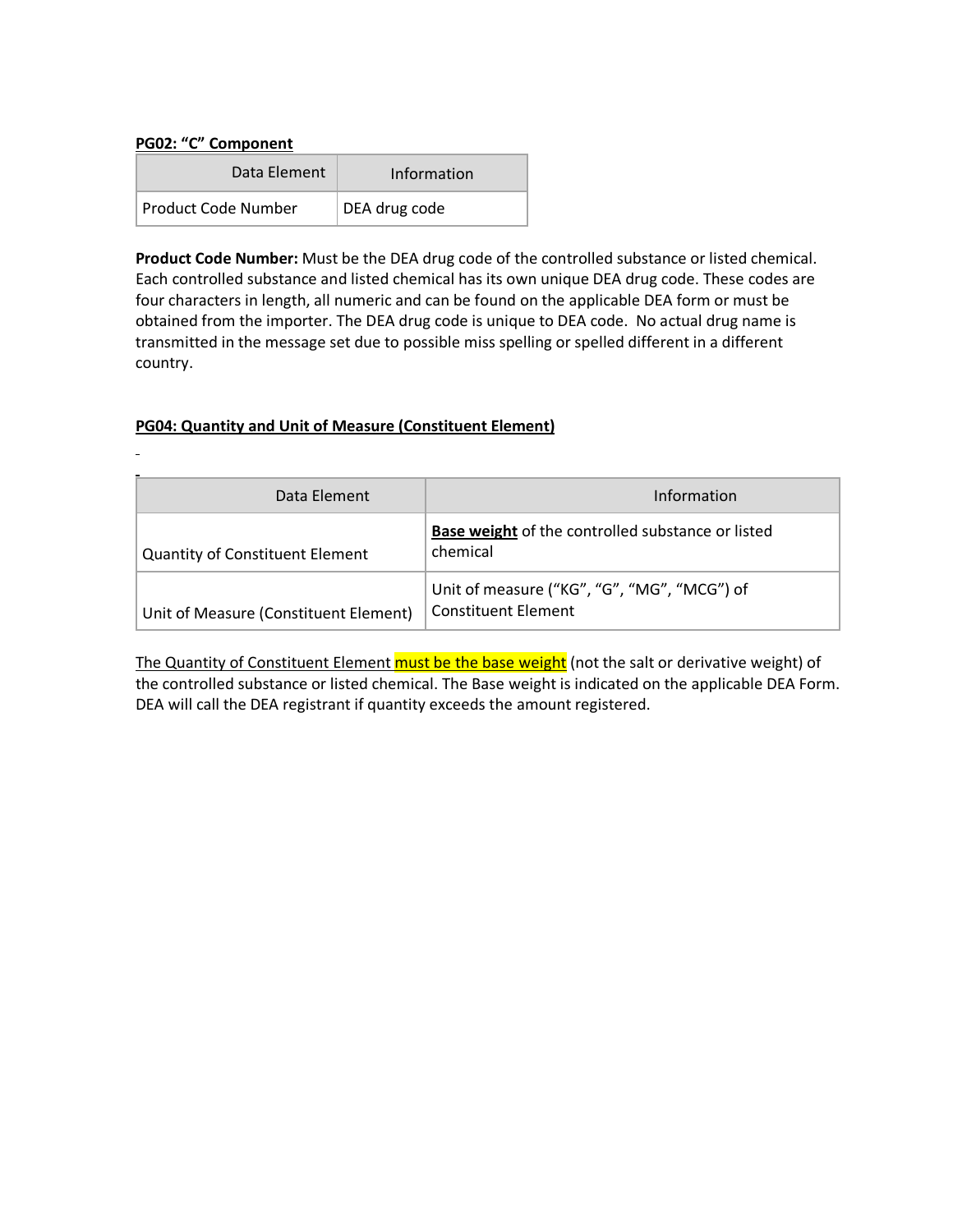#### **PG02: "C" Component**

| Data Element        | Information   |
|---------------------|---------------|
| Product Code Number | DEA drug code |

**Product Code Number:** Must be the DEA drug code of the controlled substance or listed chemical. Each controlled substance and listed chemical has its own unique DEA drug code. These codes are four characters in length, all numeric and can be found on the applicable DEA form or must be obtained from the importer. The DEA drug code is unique to DEA code. No actual drug name is transmitted in the message set due to possible miss spelling or spelled different in a different country.

#### **PG04: Quantity and Unit of Measure (Constituent Element)**

| Data Element                           | Information                                                               |
|----------------------------------------|---------------------------------------------------------------------------|
| <b>Quantity of Constituent Element</b> | <b>Base weight of the controlled substance or listed</b><br>chemical      |
| Unit of Measure (Constituent Element)  | Unit of measure ("KG", "G", "MG", "MCG") of<br><b>Constituent Element</b> |

The Quantity of Constituent Element must be the base weight (not the salt or derivative weight) of the controlled substance or listed chemical. The Base weight is indicated on the applicable DEA Form. DEA will call the DEA registrant if quantity exceeds the amount registered.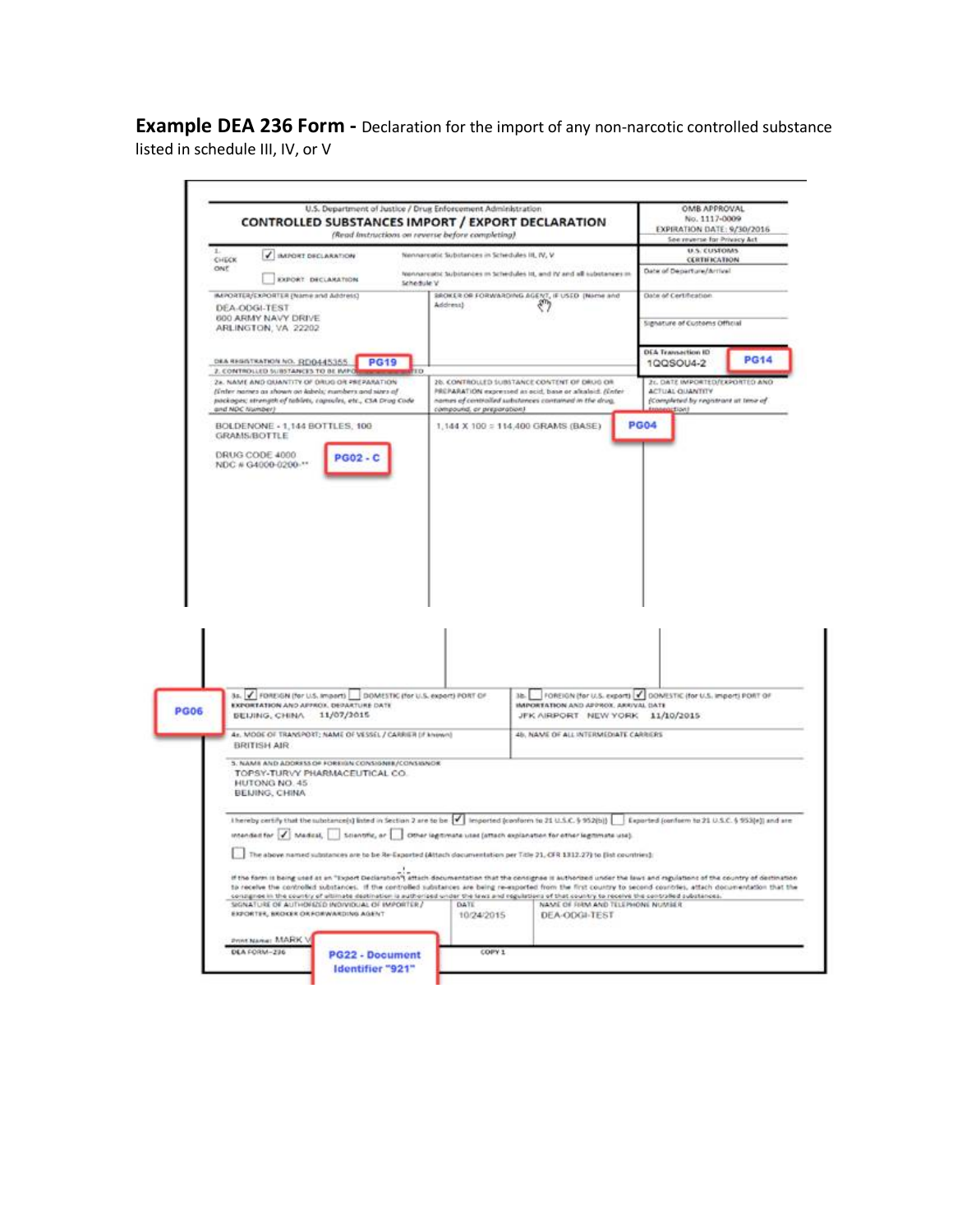**Example DEA 236 Form -** Declaration for the import of any non-narcotic controlled substance listed in schedule III, IV, or V

|       |                                                                                                                |                 |                   | U.S. Department of Justice / Drug Enforcement Administration<br>(Read Instructions on reverse before completing) | CONTROLLED SUBSTANCES IMPORT / EXPORT DECLARATION                                                                                                                                       |             | OMB APPROVAL<br>No. 1117-0009<br>EXPIRATION DATE: 9/30/2016<br>See reverse for Privacy Act |             |
|-------|----------------------------------------------------------------------------------------------------------------|-----------------|-------------------|------------------------------------------------------------------------------------------------------------------|-----------------------------------------------------------------------------------------------------------------------------------------------------------------------------------------|-------------|--------------------------------------------------------------------------------------------|-------------|
| CHECK | <b>V IMPORT DECLARATION</b>                                                                                    |                 |                   | Nennarcatic Substances in Schedules III, IV, V.                                                                  |                                                                                                                                                                                         |             | U.S. CUSTOMS<br><b>CERTIFICATION</b>                                                       |             |
| ONE   |                                                                                                                |                 |                   |                                                                                                                  | teennareated tubitances in tehedules iit, and IV and all substances in                                                                                                                  |             | Date of Departure/Arrival                                                                  |             |
|       | EXPORT DECLARATION                                                                                             |                 | Schedule V        |                                                                                                                  |                                                                                                                                                                                         |             |                                                                                            |             |
|       | BAPORTER/EXPORTER (Name and Address)                                                                           |                 |                   | Address)                                                                                                         | SROKER OR FORWARDING AGENT, IF USED (Nome and                                                                                                                                           |             | Data of Certification                                                                      |             |
|       | DEA-ODGI-TEST<br>600 ARMY NAVY DRIVE                                                                           |                 |                   |                                                                                                                  |                                                                                                                                                                                         |             | Signature of Customs Official                                                              |             |
|       | ARLINGTON, VA 22202                                                                                            |                 |                   |                                                                                                                  |                                                                                                                                                                                         |             |                                                                                            |             |
|       |                                                                                                                |                 |                   |                                                                                                                  |                                                                                                                                                                                         |             | <b>DEA Transaction ID</b>                                                                  |             |
|       | DEA RESISTRATION NO. (REID445355.)<br>2. CONTROLLED SUBSTAIREES TO BE IMPO                                     |                 | <b>PG19</b><br>пo |                                                                                                                  |                                                                                                                                                                                         |             | 1QQSOU4-2                                                                                  | <b>PG14</b> |
|       | 2x, NAME AND QUANTITY OF DRUG OR PREPARATION.<br>(Enter names as shown on labels; numbers and sizes of         |                 |                   |                                                                                                                  | 26. CONTROLLED SUBSTANCE CONTENT OF DRUG OR<br>PREPARATION expressed as sold, base or alkaloid. (Enter                                                                                  |             | 2r. DATE IMPORTED/EXPORTED ANI<br><b>ACTUAL QUANTITY</b>                                   |             |
|       | packages; strength of tablets, copsules, etc., CSA Drug Code                                                   |                 |                   |                                                                                                                  | nomes of controlled substances contained in the drug.                                                                                                                                   |             | (Completed by registrant at time of                                                        |             |
|       | and NOC Number)                                                                                                |                 |                   | compound, or preparation).                                                                                       |                                                                                                                                                                                         |             | tioni                                                                                      |             |
|       | BOLDENONE - 1,144 BOTTLES, 100<br>GRAMS/BOTTLE                                                                 |                 |                   |                                                                                                                  | 1,144 X 100 = 114,400 GRAMS (BASE)                                                                                                                                                      | <b>PG04</b> |                                                                                            |             |
|       | DRUG CODE 4000                                                                                                 | <b>PG02-C</b>   |                   |                                                                                                                  |                                                                                                                                                                                         |             |                                                                                            |             |
|       |                                                                                                                |                 |                   |                                                                                                                  |                                                                                                                                                                                         |             |                                                                                            |             |
|       |                                                                                                                |                 |                   |                                                                                                                  |                                                                                                                                                                                         |             |                                                                                            |             |
|       |                                                                                                                |                 |                   |                                                                                                                  |                                                                                                                                                                                         |             |                                                                                            |             |
|       |                                                                                                                |                 |                   |                                                                                                                  |                                                                                                                                                                                         |             |                                                                                            |             |
|       |                                                                                                                |                 |                   |                                                                                                                  |                                                                                                                                                                                         |             |                                                                                            |             |
|       |                                                                                                                |                 |                   |                                                                                                                  |                                                                                                                                                                                         |             |                                                                                            |             |
|       |                                                                                                                |                 |                   |                                                                                                                  |                                                                                                                                                                                         |             |                                                                                            |             |
|       |                                                                                                                |                 |                   |                                                                                                                  |                                                                                                                                                                                         |             |                                                                                            |             |
|       |                                                                                                                |                 |                   |                                                                                                                  |                                                                                                                                                                                         |             |                                                                                            |             |
|       |                                                                                                                |                 |                   |                                                                                                                  |                                                                                                                                                                                         |             |                                                                                            |             |
|       |                                                                                                                |                 |                   |                                                                                                                  |                                                                                                                                                                                         |             |                                                                                            |             |
|       |                                                                                                                |                 |                   |                                                                                                                  |                                                                                                                                                                                         |             |                                                                                            |             |
|       |                                                                                                                |                 |                   |                                                                                                                  |                                                                                                                                                                                         |             |                                                                                            |             |
|       |                                                                                                                |                 |                   |                                                                                                                  |                                                                                                                                                                                         |             |                                                                                            |             |
|       |                                                                                                                |                 |                   |                                                                                                                  |                                                                                                                                                                                         |             |                                                                                            |             |
|       |                                                                                                                |                 |                   |                                                                                                                  |                                                                                                                                                                                         |             |                                                                                            |             |
|       | 3s. / FOREIGN (for U.S. Import)   DOMESTIC (for U.S. export) PORT OF<br>EXPORTATION AND APPROX. DEPARTURE DATE |                 |                   |                                                                                                                  | Ib. FOREIGN (for U.S. export)   GOMESTIC (for U.S. import) PORT OF<br><b>IMPORTATION AND APPROX. ARRIVAL DATE</b>                                                                       |             |                                                                                            |             |
|       | BEIJING, CHINA 11/07/2015                                                                                      |                 |                   |                                                                                                                  | JFK AIRPORT NEW YORK 11/10/2015                                                                                                                                                         |             |                                                                                            |             |
|       | 4r. MODE OF TRANSPORT; NAME OF VESSEL / CARRIER Of known)                                                      |                 |                   |                                                                                                                  | 45. NAME OF ALL INTERMEDIATE CARRIERS                                                                                                                                                   |             |                                                                                            |             |
|       | <b>BRITISH AIR</b>                                                                                             |                 |                   |                                                                                                                  |                                                                                                                                                                                         |             |                                                                                            |             |
|       | 5. NAME AND ADDRESS OF FOREIGN CONSIGNIE/CONSIGNOR                                                             |                 |                   |                                                                                                                  |                                                                                                                                                                                         |             |                                                                                            |             |
|       | TOPSY-TURVY PHARMACEUTICAL CO.<br>HUTOMG NO. 45                                                                |                 |                   |                                                                                                                  |                                                                                                                                                                                         |             |                                                                                            |             |
|       | BEIJING, CHINA                                                                                                 |                 |                   |                                                                                                                  |                                                                                                                                                                                         |             |                                                                                            |             |
|       |                                                                                                                |                 |                   |                                                                                                                  |                                                                                                                                                                                         |             |                                                                                            |             |
|       |                                                                                                                |                 |                   |                                                                                                                  | I hereby certify that the substance(s) listed in Section 2 are to be $\  \mathbf{v}' \ $ lesported (conform to 21 U.S.C. § 952(s))     Exported (conform to 21 U.S.C. § 953(e)] and are |             |                                                                                            |             |
|       |                                                                                                                |                 |                   |                                                                                                                  | intended for / Madcst, Scientific, or Other legitimate uses (attach explanation for other legitimate use).                                                                              |             |                                                                                            |             |
|       |                                                                                                                |                 |                   |                                                                                                                  | The above named substances are to be Re-Exported (Altach documentation per Title 21, CFR 1312.27) to (list countries):                                                                  |             |                                                                                            |             |
|       |                                                                                                                |                 |                   |                                                                                                                  | if the farm is being used as an "Export Declaration") attach documentation that the consignee is authorized under the laws and rapidations of the country of destination                |             |                                                                                            |             |
|       |                                                                                                                |                 |                   |                                                                                                                  | to receive the controlled substances. If the controlled substances are being re-exported from the first country to second-countries, attach documentation that the                      |             |                                                                                            |             |
|       | SIGNATURE OF AUTHORIZED INDIVIDUAL OF IMPORTER /                                                               |                 |                   | DATE                                                                                                             | consignee in the country of ultimate destination is authorized under the laws and regulations of that country to receive the contrafed substances.<br>NAME OF FIRM AND TELEPHONE NUMBER |             |                                                                                            |             |
|       | EXPORTER, BROKER OR FORWARDING AGENT                                                                           |                 |                   | 10/24/2015                                                                                                       | DEA-ODGI-TEST                                                                                                                                                                           |             |                                                                                            |             |
|       |                                                                                                                |                 |                   |                                                                                                                  |                                                                                                                                                                                         |             |                                                                                            |             |
|       | Print Name: MARK V<br>DEA FORM-236                                                                             | PG22 - Document |                   | COPY 1                                                                                                           |                                                                                                                                                                                         |             |                                                                                            |             |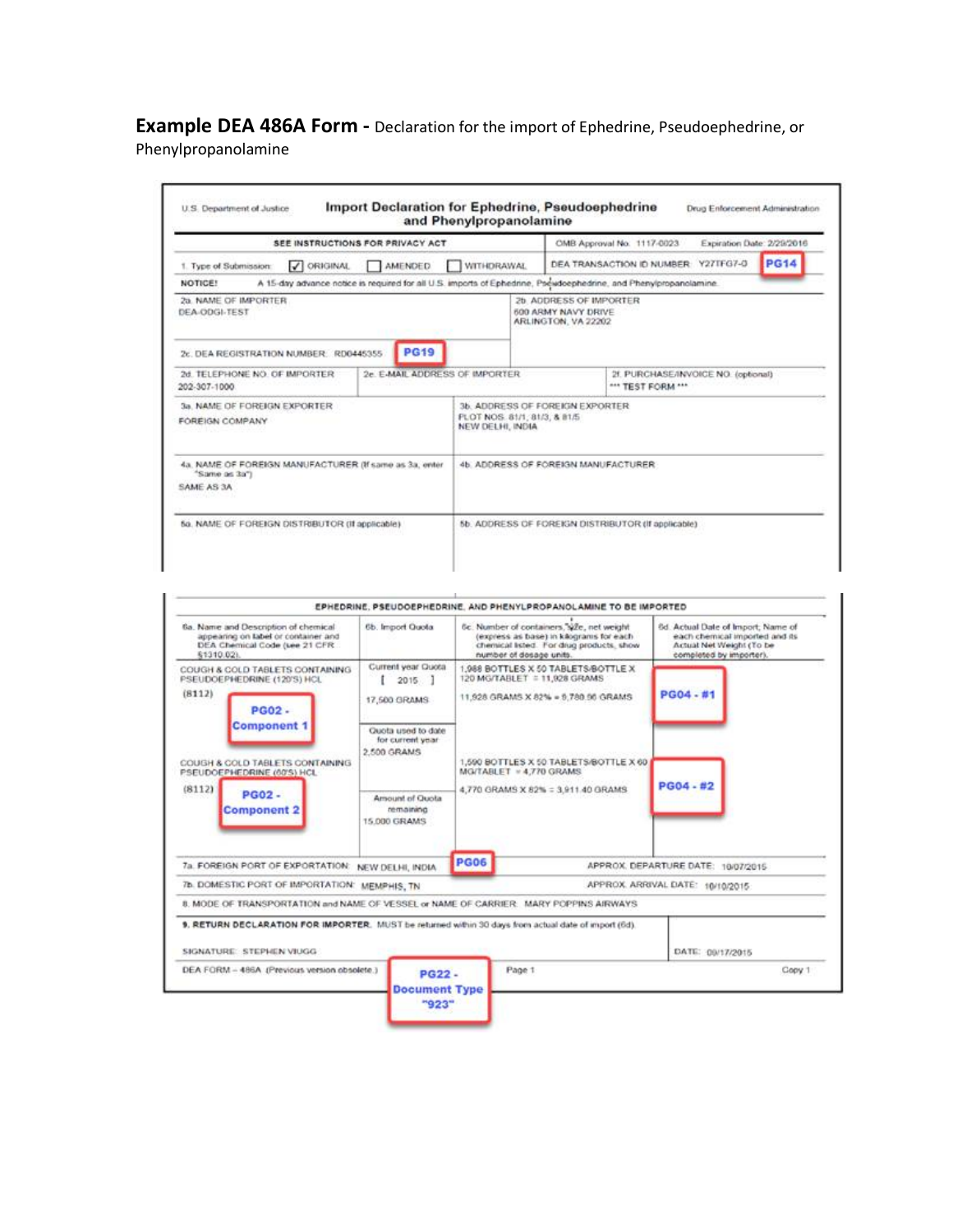**Example DEA 486A Form -** Declaration for the import of Ephedrine, Pseudoephedrine, or Phenylpropanolamine

| SEE INSTRUCTIONS FOR PRIVACY ACT                                                                                            |                                                  | OMB Approval No. 1117-0023                                            |                                                          | Expiration Date: 2/29/2016 |             |
|-----------------------------------------------------------------------------------------------------------------------------|--------------------------------------------------|-----------------------------------------------------------------------|----------------------------------------------------------|----------------------------|-------------|
| / ORIGINAL<br><b>AMENDED</b><br>1. Type of Submission:                                                                      | WITHDRAWAL                                       | DEA TRANSACTION ID NUMBER                                             |                                                          | Y27TFG7-0                  | <b>PG14</b> |
| A 15-day advance notice is required for all U.S. imports of Ephedrine, Pseudoephedrine, and Phenylpropanolamine.<br>NOTICE! |                                                  |                                                                       |                                                          |                            |             |
| 2a. NAME OF IMPORTER<br>DEA-ODGL-TEST                                                                                       |                                                  | 2b. ADDRESS OF IMPORTER<br>500 ARMY NAVY DRIVE<br>ARLINGTON, VA 22202 |                                                          |                            |             |
| <b>PG19</b><br>2r. DEA REGISTRATION NUMBER RD0445355                                                                        |                                                  |                                                                       |                                                          |                            |             |
| 2d TELEPHONE NO. OF IMPORTER<br>202-307-1000                                                                                | 2e. E-MAIL ADDRESS OF IMPORTER                   |                                                                       | 2f. PURCHASE/INVOICE NO. (optional)<br>*** TEST FORM *** |                            |             |
| 3a. NAME OF FOREIGN EXPORTER<br>FOREIGN COMPANY                                                                             | PLOT NOS. 81/1, 81/3, & 81/5<br>NEW DELHI, INDIA | 3b. ADDRESS OF FOREIGN EXPORTER.                                      |                                                          |                            |             |
| 4a. NAME OF FOREIGN MANUFACTURER (If same as 3a, enter<br>"Same as 3a")<br>SAME AS 3A                                       |                                                  | 4b. ADDRESS OF FOREIGN MANUFACTURER.                                  |                                                          |                            |             |
| 5a. NAME OF FOREIGN DISTRIBUTOR (If applicable).                                                                            |                                                  | 5b. ADDRESS OF FOREIGN DISTRIBUTOR (If applicable)                    |                                                          |                            |             |

|                                                                                                                                 |                                                       |             | EPHEDRINE, PSEUDOEPHEDRINE, AND PHENYLPROPANOLAMINE TO BE IMPORTED                                                                                          |                                                                                                                             |        |
|---------------------------------------------------------------------------------------------------------------------------------|-------------------------------------------------------|-------------|-------------------------------------------------------------------------------------------------------------------------------------------------------------|-----------------------------------------------------------------------------------------------------------------------------|--------|
| 6a. Name and Description of chemical<br>appearing on label or container and<br>DEA Chemical Code (see 21 CFR)<br>61310.02).     | 6b. Import Quota                                      |             | 6c. Number of containers, size, net weight<br>(express as base) in kilograms for each<br>chemical Isted. For drug products, show<br>number of dosage units. | 6d. Actual Date of Import, Name of<br>each chemical imported and its<br>Actual Net Weight (To be<br>completed by importer). |        |
| COUGH & COLD TABLETS CONTAINING.<br>PSEUDOEPHEDRINE (120'S) HCL<br>(8112)<br><b>PG02.</b>                                       | Current year Quota<br>$2015$ ]<br>17,500 GRAMS        |             | 1,988 BOTTLES X 50 TABLETS/BOTTLE X<br>120 MG/TABLET = 11,928 GRAMS<br>11,928 GRAMS X 82% = 5,780.96 GRAMS                                                  | PG04 - #1                                                                                                                   |        |
| <b>Component 1</b><br>COUGH & COLD TABLETS CONTAINING.<br>PSEUDOEPHEDRINE (60'S) HCL                                            | Quota used to date<br>for current year<br>2,500 GRAMS |             | 1,590 BOTTLES X 50 TABLETS/BOTTLE X 60<br>MG/TABLET = 4,770 GRAMS                                                                                           | PG04 - #2                                                                                                                   |        |
| (8112)<br><b>PG02-</b><br><b>Component 2</b>                                                                                    | Amount of Quota<br>remaining<br>15,000 GRAMS          |             | 4,770 GRAMS X 82% = 3,911.40 GRAMS                                                                                                                          |                                                                                                                             |        |
| 7a. FOREIGN PORT OF EXPORTATION: NEW DELHI, INDIA                                                                               |                                                       | <b>PG06</b> |                                                                                                                                                             | APPROX. DEPARTURE DATE: 10/07/2015                                                                                          |        |
| 7b. DOMESTIC PORT OF IMPORTATION: MEMPHIS, TN                                                                                   |                                                       |             |                                                                                                                                                             | APPROX. ARRIVAL DATE: 10/10/2015                                                                                            |        |
| 8. MODE OF TRANSPORTATION and NAME OF VESSEL or NAME OF CARRIER. MARY POPPINS AIRWAYS                                           |                                                       |             |                                                                                                                                                             |                                                                                                                             |        |
| 9. RETURN DECLARATION FOR IMPORTER. MUST be returned within 30 days from actual date of import (6d).<br>SIGNATURE STEPHEN VIUGG |                                                       |             |                                                                                                                                                             | DATE: 09/17/2015                                                                                                            |        |
| DEA FORM - 486A (Previous version obsolete.)                                                                                    | <b>PG22-</b><br><b>Document Type</b><br>"923"         |             | Page 1                                                                                                                                                      |                                                                                                                             | Copy 1 |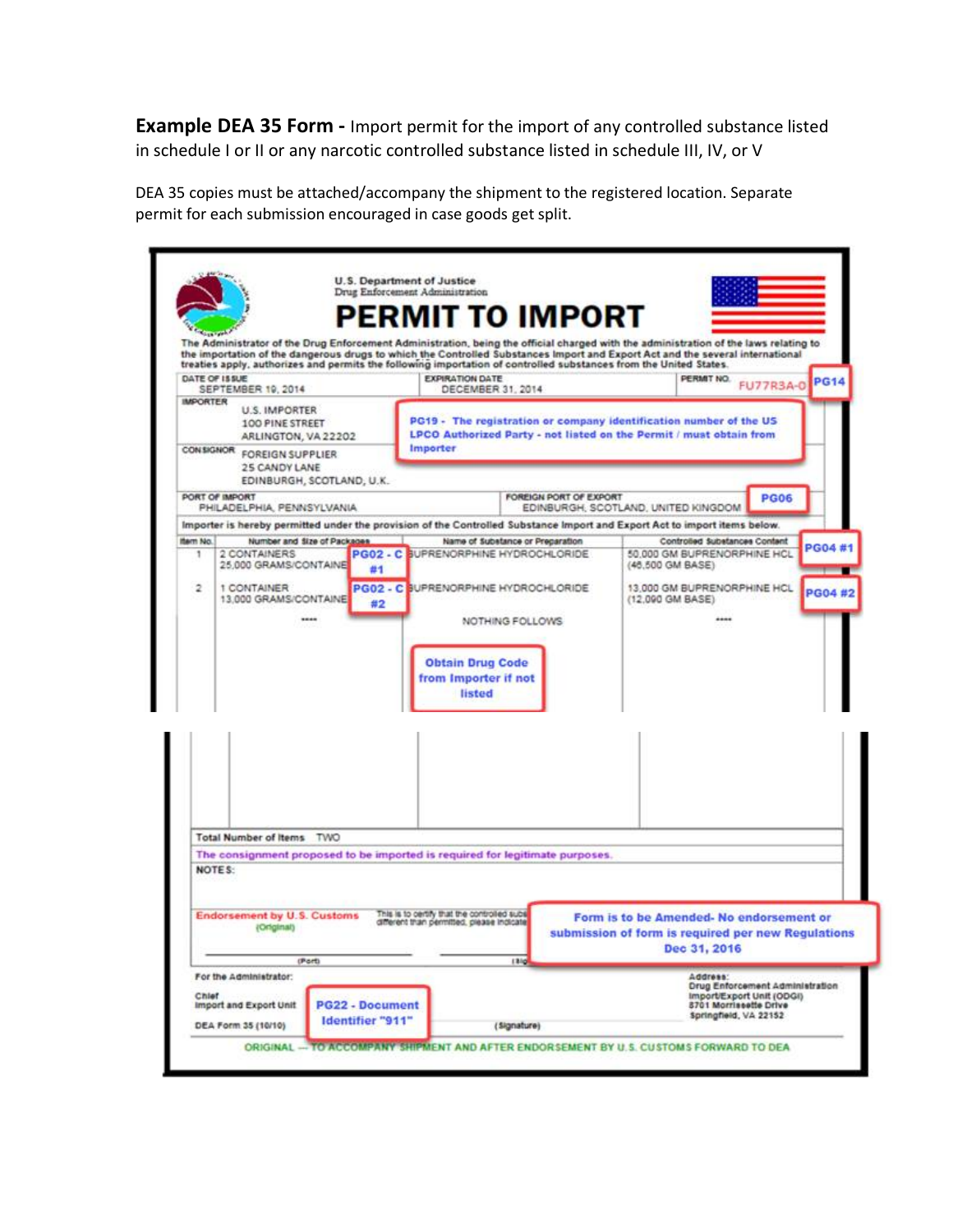**Example DEA 35 Form -** Import permit for the import of any controlled substance listed in schedule I or II or any narcotic controlled substance listed in schedule III, IV, or V

DEA 35 copies must be attached/accompany the shipment to the registered location. Separate permit for each submission encouraged in case goods get split.

|                 | SEPTEMBER 19, 2014                                                                                                        | <b>EXPIRATION DATE</b><br>DECEMBER 31, 2014. |                                  | PERMIT NO.                                                                                                                                | <b>FU77R3A-0</b>                | <b>PG14</b> |
|-----------------|---------------------------------------------------------------------------------------------------------------------------|----------------------------------------------|----------------------------------|-------------------------------------------------------------------------------------------------------------------------------------------|---------------------------------|-------------|
| <b>IMPORTER</b> | <b>U.S. IMPORTER</b><br>100 PINE STREET<br>ARLINGTON, VA 22202                                                            |                                              |                                  | PG19 - The registration or company identification number of the US<br>LPCO Authorized Party - not listed on the Permit / must obtain from |                                 |             |
|                 | CONSIGNOR FOREIGN SUPPLIER<br>25 CANDY LANE<br>EDINBURGH, SCOTLAND, U.K.                                                  | Importer                                     |                                  |                                                                                                                                           |                                 |             |
|                 | PORT OF IMPORT<br>PHILADELPHIA, PENNSYLVANIA                                                                              |                                              | FOREIGN PORT OF EXPORT           | EDINBURGH, SCOTLAND, UNITED KINGDOM                                                                                                       | <b>PG06</b>                     |             |
|                 | Importer is hereby permitted under the provision of the Controlled Substance Import and Export Act to import items below. |                                              |                                  |                                                                                                                                           |                                 |             |
| ISBNT NO.       | Number and Size of Packages                                                                                               |                                              | Name of Substance or Preparation | Controlled Substances Contant                                                                                                             |                                 | PG04 #1     |
| ٦               | 2 CONTAINERS<br>25,000 GRAMS/CONTAINE<br>#1                                                                               | PG02 - C SUPRENORPHINE HYDROCHLORIDE         |                                  | 50 000 GM BUPRENORPHINE HCL<br>(46,500 GM BASE)                                                                                           |                                 |             |
| $\overline{2}$  | 1 CONTAINER<br>13,000 GRAMS/CONTAINE<br>#2                                                                                | PG02 - C BUPRENORPHINE HYDROCHLORIDE         |                                  | 13.000 GM BUPRENORPHINE HCL<br>(12,090 GM BASE)                                                                                           |                                 | PG04 #2     |
|                 |                                                                                                                           |                                              | NOTHING FOLLOWS                  |                                                                                                                                           |                                 |             |
|                 |                                                                                                                           |                                              |                                  |                                                                                                                                           |                                 |             |
|                 |                                                                                                                           | <b>Obtain Drug Code</b>                      |                                  |                                                                                                                                           |                                 |             |
|                 |                                                                                                                           | from Importer if not                         |                                  |                                                                                                                                           |                                 |             |
|                 |                                                                                                                           | listed                                       |                                  |                                                                                                                                           |                                 |             |
|                 |                                                                                                                           |                                              |                                  |                                                                                                                                           |                                 |             |
|                 |                                                                                                                           |                                              |                                  |                                                                                                                                           |                                 |             |
|                 |                                                                                                                           |                                              |                                  |                                                                                                                                           |                                 |             |
|                 |                                                                                                                           |                                              |                                  |                                                                                                                                           |                                 |             |
|                 |                                                                                                                           |                                              |                                  |                                                                                                                                           |                                 |             |
|                 |                                                                                                                           |                                              |                                  |                                                                                                                                           |                                 |             |
|                 | Total Number of Items TWO                                                                                                 |                                              |                                  |                                                                                                                                           |                                 |             |
|                 | The consignment proposed to be imported is required for legitimate purposes.                                              |                                              |                                  |                                                                                                                                           |                                 |             |
|                 | NOTES:                                                                                                                    |                                              |                                  |                                                                                                                                           |                                 |             |
|                 |                                                                                                                           |                                              |                                  |                                                                                                                                           |                                 |             |
|                 | <b>Endorsement by U.S. Customs</b>                                                                                        | This is to certify that the controlled subs  |                                  | Form is to be Amended-No endorsement or                                                                                                   |                                 |             |
|                 | (Original)                                                                                                                | different than permitted, please indicate    |                                  | submission of form is required per new Regulations                                                                                        |                                 |             |
|                 |                                                                                                                           |                                              |                                  |                                                                                                                                           |                                 |             |
|                 | (Port)                                                                                                                    |                                              | 1310                             | Dec 31, 2016                                                                                                                              |                                 |             |
|                 | For the Administrator:                                                                                                    |                                              |                                  | Address:                                                                                                                                  | Drug Enforcement Administration |             |
| Chief           | <b>PG22 - Document</b><br>Import and Export Unit                                                                          |                                              |                                  | Import/Export Unit (ODGI)<br>8701 Morriseette Drive<br>Springfield, VA 22152                                                              |                                 |             |